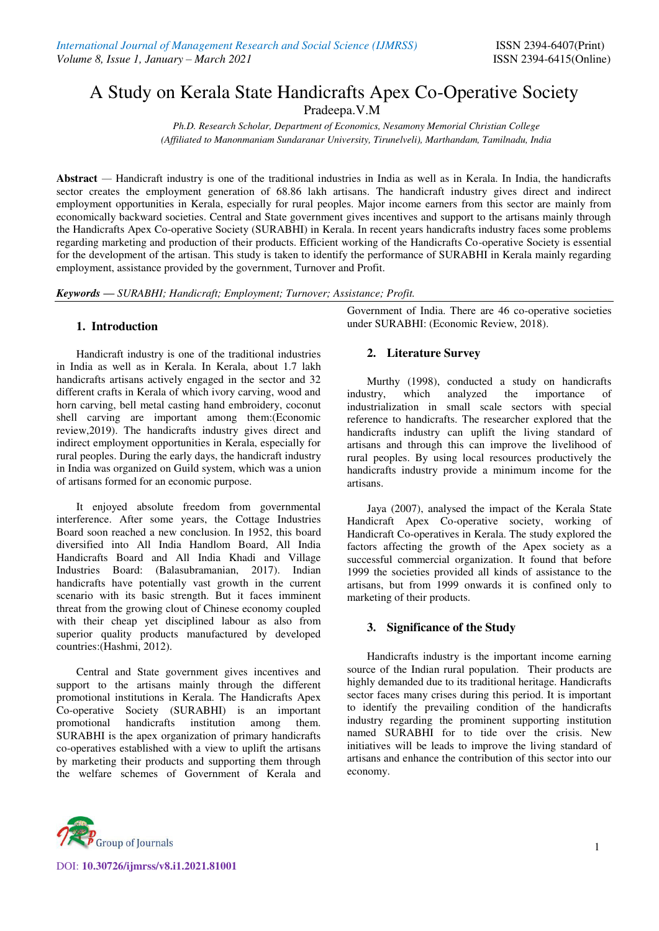# A Study on Kerala State Handicrafts Apex Co-Operative Society

Pradeepa.V.M

*Ph.D. Research Scholar, Department of Economics, Nesamony Memorial Christian College (Affiliated to Manonmaniam Sundaranar University, Tirunelveli), Marthandam, Tamilnadu, India* 

**Abstract** *—* Handicraft industry is one of the traditional industries in India as well as in Kerala. In India, the handicrafts sector creates the employment generation of 68.86 lakh artisans. The handicraft industry gives direct and indirect employment opportunities in Kerala, especially for rural peoples. Major income earners from this sector are mainly from economically backward societies. Central and State government gives incentives and support to the artisans mainly through the Handicrafts Apex Co-operative Society (SURABHI) in Kerala. In recent years handicrafts industry faces some problems regarding marketing and production of their products. Efficient working of the Handicrafts Co-operative Society is essential for the development of the artisan. This study is taken to identify the performance of SURABHI in Kerala mainly regarding employment, assistance provided by the government, Turnover and Profit.

*Keywords — SURABHI; Handicraft; Employment; Turnover; Assistance; Profit.* 

# **1. Introduction**

Handicraft industry is one of the traditional industries in India as well as in Kerala. In Kerala, about 1.7 lakh handicrafts artisans actively engaged in the sector and 32 different crafts in Kerala of which ivory carving, wood and horn carving, bell metal casting hand embroidery, coconut shell carving are important among them:(Economic review,2019). The handicrafts industry gives direct and indirect employment opportunities in Kerala, especially for rural peoples. During the early days, the handicraft industry in India was organized on Guild system, which was a union of artisans formed for an economic purpose.

It enjoyed absolute freedom from governmental interference. After some years, the Cottage Industries Board soon reached a new conclusion. In 1952, this board diversified into All India Handlom Board, All India Handicrafts Board and All India Khadi and Village Industries Board: (Balasubramanian, 2017). Indian handicrafts have potentially vast growth in the current scenario with its basic strength. But it faces imminent threat from the growing clout of Chinese economy coupled with their cheap yet disciplined labour as also from superior quality products manufactured by developed countries:(Hashmi, 2012).

Central and State government gives incentives and support to the artisans mainly through the different promotional institutions in Kerala. The Handicrafts Apex Co-operative Society (SURABHI) is an important promotional handicrafts institution among them. SURABHI is the apex organization of primary handicrafts co-operatives established with a view to uplift the artisans by marketing their products and supporting them through the welfare schemes of Government of Kerala and Government of India. There are 46 co-operative societies under SURABHI: (Economic Review, 2018).

# **2. Literature Survey**

 Murthy (1998), conducted a study on handicrafts industry, which analyzed the importance of industrialization in small scale sectors with special reference to handicrafts. The researcher explored that the handicrafts industry can uplift the living standard of artisans and through this can improve the livelihood of rural peoples. By using local resources productively the handicrafts industry provide a minimum income for the artisans.

Jaya (2007), analysed the impact of the Kerala State Handicraft Apex Co-operative society, working of Handicraft Co-operatives in Kerala. The study explored the factors affecting the growth of the Apex society as a successful commercial organization. It found that before 1999 the societies provided all kinds of assistance to the artisans, but from 1999 onwards it is confined only to marketing of their products.

# **3. Significance of the Study**

Handicrafts industry is the important income earning source of the Indian rural population. Their products are highly demanded due to its traditional heritage. Handicrafts sector faces many crises during this period. It is important to identify the prevailing condition of the handicrafts industry regarding the prominent supporting institution named SURABHI for to tide over the crisis. New initiatives will be leads to improve the living standard of artisans and enhance the contribution of this sector into our economy.



DOI: **10.30726/ijmrss/v8.i1.2021.81001**